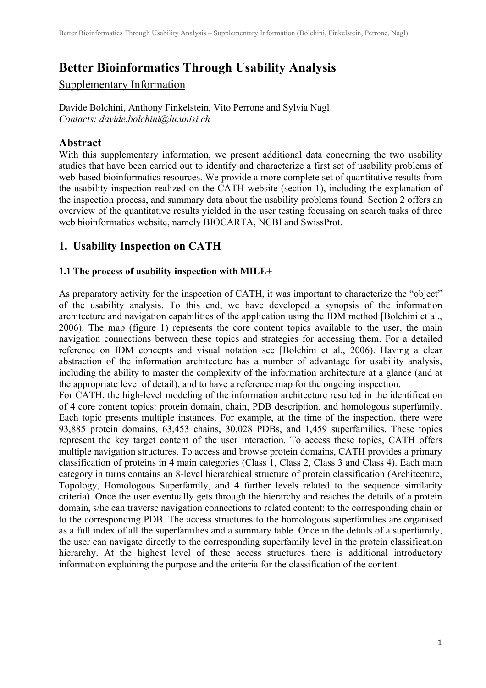# **Better Bioinformatics Through Usability Analysis**

Supplementary Information

Davide Bolchini, Anthony Finkelstein, Vito Perrone and Sylvia Nagl *Contacts: davide.bolchini@lu.unisi.ch*

## **Abstract**

With this supplementary information, we present additional data concerning the two usability studies that have been carried out to identify and characterize a first set of usability problems of web-based bioinformatics resources. We provide a more complete set of quantitative results from the usability inspection realized on the CATH website (section 1), including the explanation of the inspection process, and summary data about the usability problems found. Section 2 offers an overview of the quantitative results yielded in the user testing focussing on search tasks of three web bioinformatics website, namely BIOCARTA, NCBI and SwissProt.

## **1. Usability Inspection on CATH**

### **1.1 The process of usability inspection with MILE+**

As preparatory activity for the inspection of CATH, it was important to characterize the "object" of the usability analysis. To this end, we have developed a synopsis of the information architecture and navigation capabilities of the application using the IDM method [Bolchini et al., 2006). The map (figure 1) represents the core content topics available to the user, the main navigation connections between these topics and strategies for accessing them. For a detailed reference on IDM concepts and visual notation see [Bolchini et al., 2006). Having a clear abstraction of the information architecture has a number of advantage for usability analysis, including the ability to master the complexity of the information architecture at a glance (and at the appropriate level of detail), and to have a reference map for the ongoing inspection.

For CATH, the high-level modeling of the information architecture resulted in the identification of 4 core content topics: protein domain, chain, PDB description, and homologous superfamily. Each topic presents multiple instances. For example, at the time of the inspection, there were 93,885 protein domains, 63,453 chains, 30,028 PDBs, and 1,459 superfamilies. These topics represent the key target content of the user interaction. To access these topics, CATH offers multiple navigation structures. To access and browse protein domains, CATH provides a primary classification of proteins in 4 main categories (Class 1, Class 2, Class 3 and Class 4). Each main category in turns contains an 8-level hierarchical structure of protein classification (Architecture, Topology, Homologous Superfamily, and 4 further levels related to the sequence similarity criteria). Once the user eventually gets through the hierarchy and reaches the details of a protein domain, s/he can traverse navigation connections to related content: to the corresponding chain or to the corresponding PDB. The access structures to the homologous superfamilies are organised as a full index of all the superfamilies and a summary table. Once in the details of a superfamily, the user can navigate directly to the corresponding superfamily level in the protein classification hierarchy. At the highest level of these access structures there is additional introductory information explaining the purpose and the criteria for the classification of the content.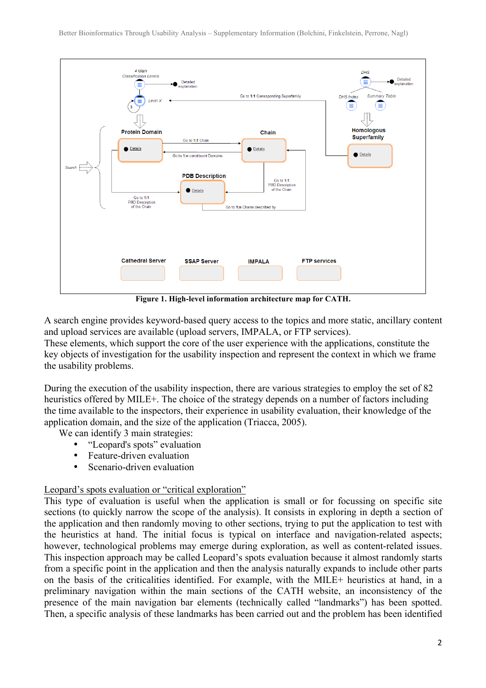

**Figure 1. High-level information architecture map for CATH.**

A search engine provides keyword-based query access to the topics and more static, ancillary content and upload services are available (upload servers, IMPALA, or FTP services). These elements, which support the core of the user experience with the applications, constitute the key objects of investigation for the usability inspection and represent the context in which we frame the usability problems.

During the execution of the usability inspection, there are various strategies to employ the set of 82 heuristics offered by MILE+. The choice of the strategy depends on a number of factors including the time available to the inspectors, their experience in usability evaluation, their knowledge of the application domain, and the size of the application (Triacca, 2005).

We can identify 3 main strategies:

- "Leopard's spots" evaluation<br>• Feature-driven evaluation
- Feature-driven evaluation
- Scenario-driven evaluation

### Leopard's spots evaluation or "critical exploration"

This type of evaluation is useful when the application is small or for focussing on specific site sections (to quickly narrow the scope of the analysis). It consists in exploring in depth a section of the application and then randomly moving to other sections, trying to put the application to test with the heuristics at hand. The initial focus is typical on interface and navigation-related aspects; however, technological problems may emerge during exploration, as well as content-related issues. This inspection approach may be called Leopard's spots evaluation because it almost randomly starts from a specific point in the application and then the analysis naturally expands to include other parts on the basis of the criticalities identified. For example, with the MILE+ heuristics at hand, in a preliminary navigation within the main sections of the CATH website, an inconsistency of the presence of the main navigation bar elements (technically called "landmarks") has been spotted. Then, a specific analysis of these landmarks has been carried out and the problem has been identified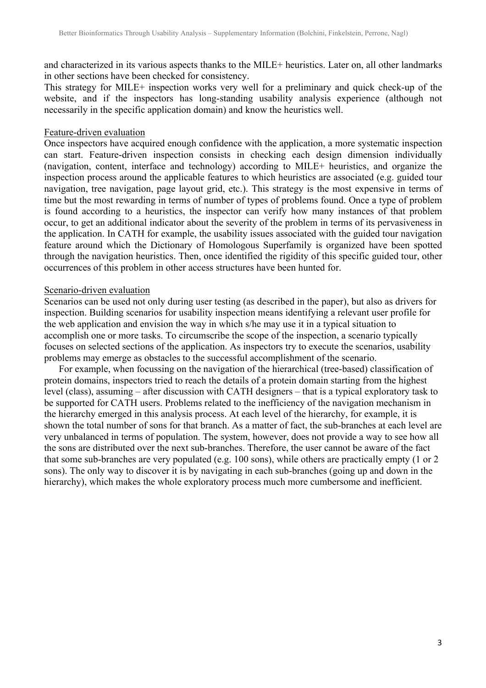and characterized in its various aspects thanks to the MILE+ heuristics. Later on, all other landmarks in other sections have been checked for consistency.

This strategy for MILE+ inspection works very well for a preliminary and quick check-up of the website, and if the inspectors has long-standing usability analysis experience (although not necessarily in the specific application domain) and know the heuristics well.

#### Feature-driven evaluation

Once inspectors have acquired enough confidence with the application, a more systematic inspection can start. Feature-driven inspection consists in checking each design dimension individually (navigation, content, interface and technology) according to MILE+ heuristics, and organize the inspection process around the applicable features to which heuristics are associated (e.g. guided tour navigation, tree navigation, page layout grid, etc.). This strategy is the most expensive in terms of time but the most rewarding in terms of number of types of problems found. Once a type of problem is found according to a heuristics, the inspector can verify how many instances of that problem occur, to get an additional indicator about the severity of the problem in terms of its pervasiveness in the application. In CATH for example, the usability issues associated with the guided tour navigation feature around which the Dictionary of Homologous Superfamily is organized have been spotted through the navigation heuristics. Then, once identified the rigidity of this specific guided tour, other occurrences of this problem in other access structures have been hunted for.

### Scenario-driven evaluation

Scenarios can be used not only during user testing (as described in the paper), but also as drivers for inspection. Building scenarios for usability inspection means identifying a relevant user profile for the web application and envision the way in which s/he may use it in a typical situation to accomplish one or more tasks. To circumscribe the scope of the inspection, a scenario typically focuses on selected sections of the application. As inspectors try to execute the scenarios, usability problems may emerge as obstacles to the successful accomplishment of the scenario.

For example, when focussing on the navigation of the hierarchical (tree-based) classification of protein domains, inspectors tried to reach the details of a protein domain starting from the highest level (class), assuming – after discussion with CATH designers – that is a typical exploratory task to be supported for CATH users. Problems related to the inefficiency of the navigation mechanism in the hierarchy emerged in this analysis process. At each level of the hierarchy, for example, it is shown the total number of sons for that branch. As a matter of fact, the sub-branches at each level are very unbalanced in terms of population. The system, however, does not provide a way to see how all the sons are distributed over the next sub-branches. Therefore, the user cannot be aware of the fact that some sub-branches are very populated (e.g. 100 sons), while others are practically empty (1 or 2 sons). The only way to discover it is by navigating in each sub-branches (going up and down in the hierarchy), which makes the whole exploratory process much more cumbersome and inefficient.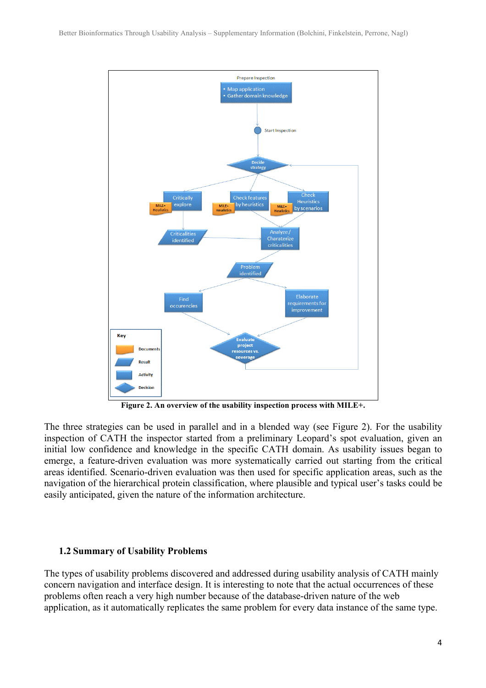

**Figure 2. An overview of the usability inspection process with MILE+.**

The three strategies can be used in parallel and in a blended way (see Figure 2). For the usability inspection of CATH the inspector started from a preliminary Leopard's spot evaluation, given an initial low confidence and knowledge in the specific CATH domain. As usability issues began to emerge, a feature-driven evaluation was more systematically carried out starting from the critical areas identified. Scenario-driven evaluation was then used for specific application areas, such as the navigation of the hierarchical protein classification, where plausible and typical user's tasks could be easily anticipated, given the nature of the information architecture.

#### **1.2 Summary of Usability Problems**

The types of usability problems discovered and addressed during usability analysis of CATH mainly concern navigation and interface design. It is interesting to note that the actual occurrences of these problems often reach a very high number because of the database-driven nature of the web application, as it automatically replicates the same problem for every data instance of the same type.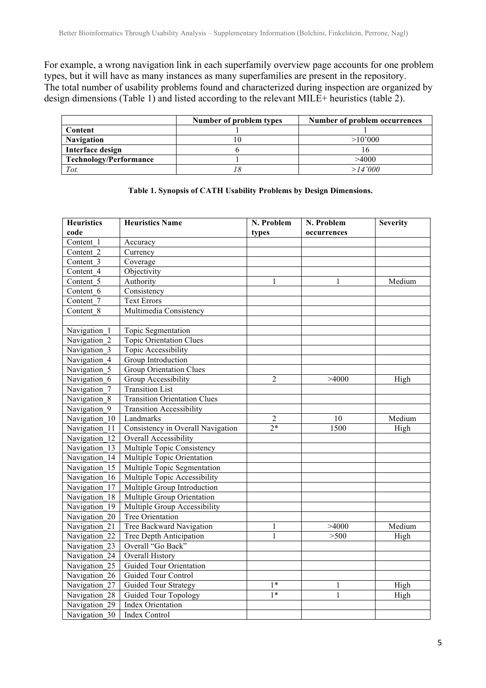For example, a wrong navigation link in each superfamily overview page accounts for one problem types, but it will have as many instances as many superfamilies are present in the repository. The total number of usability problems found and characterized during inspection are organized by design dimensions (Table 1) and listed according to the relevant MILE+ heuristics (table 2).

|                               | Number of problem types | Number of problem occurrences |
|-------------------------------|-------------------------|-------------------------------|
| Content                       |                         |                               |
| <b>Navigation</b>             |                         | >10'000                       |
| Interface design              |                         |                               |
| <b>Technology/Performance</b> |                         | >4000                         |
| Tot.                          |                         | $>$ 14'000 $\,$               |

| <b>Heuristics</b><br><b>Heuristics Name</b> |                                     | N. Problem       | N. Problem  | <b>Severity</b> |
|---------------------------------------------|-------------------------------------|------------------|-------------|-----------------|
| code                                        |                                     | types            | occurrences |                 |
| Content 1                                   | Accuracy                            |                  |             |                 |
| Content 2                                   | Currency                            |                  |             |                 |
| Content 3                                   | Coverage                            |                  |             |                 |
| Content 4                                   | Objectivity                         |                  |             |                 |
| Content 5                                   | Authority                           | 1                | 1           | Medium          |
| Content 6                                   | Consistency                         |                  |             |                 |
| Content 7                                   | <b>Text Errors</b>                  |                  |             |                 |
| Content 8                                   | Multimedia Consistency              |                  |             |                 |
|                                             |                                     |                  |             |                 |
| Navigation_1                                | Topic Segmentation                  |                  |             |                 |
| Navigation <sub>2</sub>                     | <b>Topic Orientation Clues</b>      |                  |             |                 |
| Navigation 3                                | Topic Accessibility                 |                  |             |                 |
| Navigation 4                                | Group Introduction                  |                  |             |                 |
| Navigation 5                                | <b>Group Orientation Clues</b>      |                  |             |                 |
| Navigation 6                                | Group Accessibility                 | $\overline{2}$   | >4000       | High            |
| Navigation 7                                | <b>Transition List</b>              |                  |             |                 |
| Navigation 8                                | <b>Transition Orientation Clues</b> |                  |             |                 |
| Navigation 9                                | <b>Transition Accessibility</b>     |                  |             |                 |
| Navigation 10                               | Landmarks                           | $\overline{2}$   | 10          | Medium          |
| Navigation 11                               | Consistency in Overall Navigation   | $\overline{2^*}$ | 1500        | High            |
| Navigation 12                               | Overall Accessibility               |                  |             |                 |
| Navigation 13                               | Multiple Topic Consistency          |                  |             |                 |
| Navigation 14                               | Multiple Topic Orientation          |                  |             |                 |
| Navigation 15                               | Multiple Topic Segmentation         |                  |             |                 |
| Navigation 16                               | Multiple Topic Accessibility        |                  |             |                 |
| Navigation 17                               | Multiple Group Introduction         |                  |             |                 |
| Navigation 18                               | Multiple Group Orientation          |                  |             |                 |
| Navigation 19                               | Multiple Group Accessibility        |                  |             |                 |
| Navigation 20                               | Tree Orientation                    |                  |             |                 |
| Navigation 21                               | Tree Backward Navigation            | 1                | >4000       | Medium          |
| Navigation 22                               | Tree Depth Anticipation             | 1                | > 500       | High            |
| Navigation 23                               | Overall "Go Back"                   |                  |             |                 |
| Navigation 24                               | Overall History                     |                  |             |                 |
| Navigation 25                               | <b>Guided Tour Orientation</b>      |                  |             |                 |
| Navigation 26                               | Guided Tour Control                 |                  |             |                 |
| Navigation 27                               | <b>Guided Tour Strategy</b>         | $1*$             | 1           | High            |
| Navigation 28                               | <b>Guided Tour Topology</b>         | $1*$             | 1           | High            |
| Navigation 29                               | <b>Index Orientation</b>            |                  |             |                 |
| Navigation 30                               | <b>Index Control</b>                |                  |             |                 |

#### **Table 1. Synopsis of CATH Usability Problems by Design Dimensions.**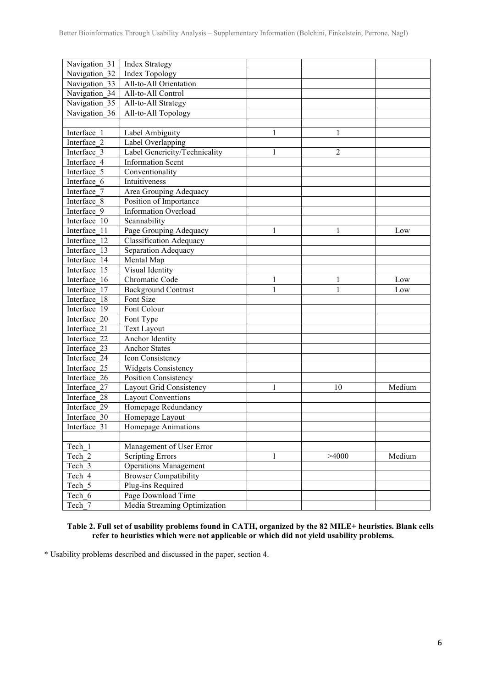| Navigation 31 | <b>Index Strategy</b>         |   |                |        |
|---------------|-------------------------------|---|----------------|--------|
| Navigation 32 | <b>Index Topology</b>         |   |                |        |
| Navigation 33 | All-to-All Orientation        |   |                |        |
| Navigation 34 | All-to-All Control            |   |                |        |
| Navigation 35 | All-to-All Strategy           |   |                |        |
| Navigation 36 | All-to-All Topology           |   |                |        |
|               |                               |   |                |        |
| Interface 1   | Label Ambiguity               | 1 | 1              |        |
| Interface 2   | Label Overlapping             |   |                |        |
| Interface 3   | Label Genericity/Technicality | 1 | $\overline{c}$ |        |
| Interface 4   | <b>Information Scent</b>      |   |                |        |
| Interface 5   | Conventionality               |   |                |        |
| Interface 6   | Intuitiveness                 |   |                |        |
| Interface 7   | Area Grouping Adequacy        |   |                |        |
| Interface 8   | Position of Importance        |   |                |        |
| Interface 9   | <b>Information Overload</b>   |   |                |        |
| Interface 10  | Scannability                  |   |                |        |
| Interface 11  | Page Grouping Adequacy        | 1 | 1              | Low    |
| Interface 12  | Classification Adequacy       |   |                |        |
| Interface 13  | Separation Adequacy           |   |                |        |
| Interface 14  | Mental Map                    |   |                |        |
| Interface 15  | Visual Identity               |   |                |        |
| Interface 16  | Chromatic Code                | 1 | 1              | Low    |
| Interface 17  | <b>Background Contrast</b>    | 1 | 1              | Low    |
| Interface 18  | Font Size                     |   |                |        |
| Interface 19  | Font Colour                   |   |                |        |
| Interface 20  | Font Type                     |   |                |        |
| Interface 21  | <b>Text Layout</b>            |   |                |        |
| Interface 22  | Anchor Identity               |   |                |        |
| Interface 23  | <b>Anchor States</b>          |   |                |        |
| Interface 24  | Icon Consistency              |   |                |        |
|               |                               |   |                |        |
| Interface 25  | <b>Widgets Consistency</b>    |   |                |        |
| Interface 26  | Position Consistency          |   |                |        |
| Interface 27  | Layout Grid Consistency       | 1 | 10             | Medium |
| Interface 28  | <b>Layout Conventions</b>     |   |                |        |
| Interface 29  | Homepage Redundancy           |   |                |        |
| Interface 30  | Homepage Layout               |   |                |        |
| Interface 31  | Homepage Animations           |   |                |        |
|               |                               |   |                |        |
| Tech 1        | Management of User Error      |   |                |        |
| Tech 2        | <b>Scripting Errors</b>       | 1 | >4000          | Medium |
| Tech 3        | <b>Operations Management</b>  |   |                |        |
| Tech 4        | <b>Browser Compatibility</b>  |   |                |        |
| Tech 5        | Plug-ins Required             |   |                |        |
| Tech 6        | Page Download Time            |   |                |        |
| Tech 7        | Media Streaming Optimization  |   |                |        |

**Table 2. Full set of usability problems found in CATH, organized by the 82 MILE+ heuristics. Blank cells refer to heuristics which were not applicable or which did not yield usability problems.**

\* Usability problems described and discussed in the paper, section 4.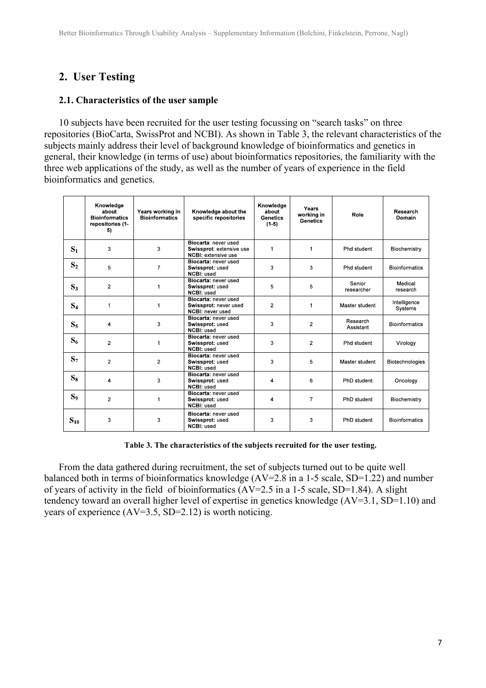## **2. User Testing**

#### **2.1. Characteristics of the user sample**

10 subjects have been recruited for the user testing focussing on "search tasks" on three repositories (BioCarta, SwissProt and NCBI). As shown in Table 3, the relevant characteristics of the subjects mainly address their level of background knowledge of bioinformatics and genetics in general, their knowledge (in terms of use) about bioinformatics repositories, the familiarity with the three web applications of the study, as well as the number of years of experience in the field bioinformatics and genetics.

|                | Knowledge<br>about<br><b>Bioinformatics</b><br>repositories (1-<br>5) | Years working in<br><b>Bioinformatics</b> | Knowledge about the<br>specific repositories                                   | Knowledge<br>about<br><b>Genetics</b><br>$(1-5)$ | Years<br>working in<br><b>Genetics</b> | Role                  | Research<br>Domain      |
|----------------|-----------------------------------------------------------------------|-------------------------------------------|--------------------------------------------------------------------------------|--------------------------------------------------|----------------------------------------|-----------------------|-------------------------|
| $S_1$          | 3                                                                     | 3                                         | Biocarta: never used<br>Swissprot: extensive use<br><b>NCBI:</b> extensive use | $\mathbf{1}$                                     | 1                                      | Phd student           | Biochemistry            |
| S <sub>2</sub> | 5                                                                     | $\overline{7}$                            | Biocarta: never used<br>Swissprot: used<br>NCBI: used                          | 3                                                | 3                                      | Phd student           | <b>Bioinformatics</b>   |
| $S_3$          | $\overline{2}$                                                        | 1                                         | Biocarta: never used<br>Swissprot: used<br>NCBI: used                          | 5                                                | 5                                      | Senior<br>researcher  | Medical<br>research     |
| S <sub>4</sub> | $\mathbf{1}$                                                          | 1                                         | Biocarta: never used<br>Swissprot: never used<br>NCBI: never used              | $\overline{2}$                                   | 1                                      | Master student        | Intelligence<br>Systems |
| $S_5$          | 4                                                                     | 3                                         | Biocarta: never used<br>Swissprot: used<br>NCBI: used                          | 3                                                | $\overline{2}$                         | Research<br>Assistant | <b>Bioinformatics</b>   |
| $S_6$          | $\overline{2}$                                                        | 1                                         | Biocarta: never used<br>Swissprot: used<br><b>NCBI: used</b>                   | 3                                                | $\overline{2}$                         | Phd student           | Virology                |
| $S_7$          | $\overline{2}$                                                        | $\overline{2}$                            | Biocarta: never used<br>Swissprot: used<br>NCBI: used                          | 3                                                | 5                                      | Master student        | <b>Biotechnologies</b>  |
| $S_8$          | $\overline{\mathbf{4}}$                                               | 3                                         | Biocarta: never used<br>Swissprot: used<br><b>NCBI: used</b>                   | 4                                                | 6                                      | PhD student           | Oncology                |
| $S_9$          | $\overline{2}$                                                        | 1                                         | Biocarta: never used<br>Swissprot: used<br>NCBI: used                          | 4                                                | $\overline{7}$                         | PhD student           | Biochemistry            |
| $S_{10}$       | 3                                                                     | 3                                         | Biocarta: never used<br>Swissprot: used<br>NCBI: used                          | 3                                                | 3                                      | PhD student           | <b>Bioinformatics</b>   |

**Table 3. The characteristics of the subjects recruited for the user testing.**

From the data gathered during recruitment, the set of subjects turned out to be quite well balanced both in terms of bioinformatics knowledge  $(AV=2.8$  in a 1-5 scale, SD=1.22) and number of years of activity in the field of bioinformatics  $(AV=2.5 \text{ in a } 1.5 \text{ scale}, SD=1.84)$ . A slight tendency toward an overall higher level of expertise in genetics knowledge (AV=3.1, SD=1.10) and years of experience  $(AV=3.5, SD=2.12)$  is worth noticing.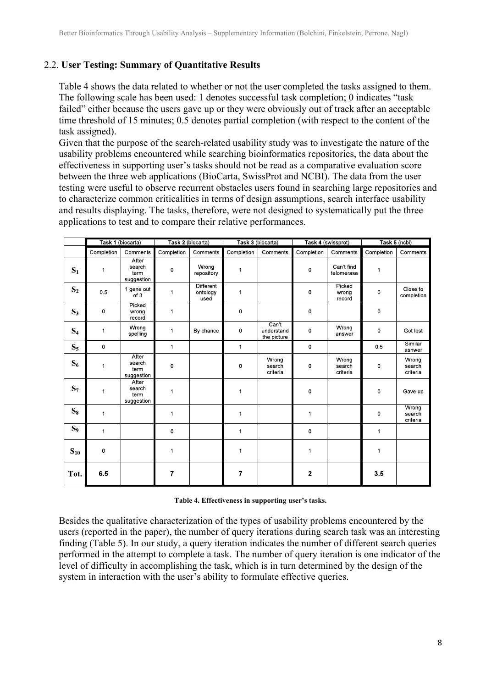## 2.2. **User Testing: Summary of Quantitative Results**

Table 4 shows the data related to whether or not the user completed the tasks assigned to them. The following scale has been used: 1 denotes successful task completion; 0 indicates "task failed" either because the users gave up or they were obviously out of track after an acceptable time threshold of 15 minutes; 0.5 denotes partial completion (with respect to the content of the task assigned).

Given that the purpose of the search-related usability study was to investigate the nature of the usability problems encountered while searching bioinformatics repositories, the data about the effectiveness in supporting user's tasks should not be read as a comparative evaluation score between the three web applications (BioCarta, SwissProt and NCBI). The data from the user testing were useful to observe recurrent obstacles users found in searching large repositories and to characterize common criticalities in terms of design assumptions, search interface usability and results displaying. The tasks, therefore, were not designed to systematically put the three applications to test and to compare their relative performances.

|          | Task 1 (biocarta) |                                       | Task 2 (biocarta) |                                      | Task 3 (biocarta) |                                    | Task 4 (swissprot) |                             | Task 5 (ncbi) |                             |
|----------|-------------------|---------------------------------------|-------------------|--------------------------------------|-------------------|------------------------------------|--------------------|-----------------------------|---------------|-----------------------------|
|          | Completion        | Comments                              | Completion        | Comments                             | Completion        | Comments                           | Completion         | Comments                    | Completion    | Comments                    |
| $S_1$    | 1                 | After<br>search<br>term<br>suggestion | 0                 | Wrong<br>repository                  | $\mathbf{1}$      |                                    | 0                  | Can't find<br>telomerase    | $\mathbf 1$   |                             |
| $S_2$    | 0.5               | 1 gene out<br>of 3                    | $\mathbf{1}$      | <b>Different</b><br>ontology<br>used | $\mathbf{1}$      |                                    | 0                  | Picked<br>wrong<br>record   | 0             | Close to<br>completion      |
| $S_3$    | 0                 | Picked<br>wrong<br>record             | 1                 |                                      | 0                 |                                    | 0                  |                             | 0             |                             |
| $S_4$    | $\mathbf{1}$      | Wrong<br>spelling                     | $\mathbf{1}$      | By chance                            | 0                 | Can't<br>understand<br>the picture | 0                  | Wrong<br>answer             | $\mathbf 0$   | Got lost                    |
| $S_5$    | 0                 |                                       | $\mathbf{1}$      |                                      | $\mathbf{1}$      |                                    | 0                  |                             | 0.5           | Similar<br>asnwer           |
| $S_6$    | $\mathbf{1}$      | After<br>search<br>term<br>suggestion | 0                 |                                      | 0                 | Wrong<br>search<br>criteria        | 0                  | Wrong<br>search<br>criteria | $\mathsf 0$   | Wrong<br>search<br>criteria |
| $S_7$    | $\mathbf{1}$      | After<br>search<br>term<br>suggestion | $\mathbf{1}$      |                                      | $\mathbf{1}$      |                                    | 0                  |                             | $\mathbf 0$   | Gave up                     |
| $S_8$    | $\mathbf{1}$      |                                       | 1                 |                                      | $\mathbf 1$       |                                    | $\mathbf{1}$       |                             | 0             | Wrong<br>search<br>criteria |
| $S_9$    | $\mathbf{1}$      |                                       | 0                 |                                      | $\mathbf 1$       |                                    | 0                  |                             | $\mathbf{1}$  |                             |
| $S_{10}$ | 0                 |                                       | $\mathbf{1}$      |                                      | $\mathbf 1$       |                                    | $\mathbf{1}$       |                             | 1             |                             |
| Tot.     | 6.5               |                                       | 7                 |                                      | 7                 |                                    | $\mathbf 2$        |                             | 3.5           |                             |

**Table 4. Effectiveness in supporting user's tasks.**

Besides the qualitative characterization of the types of usability problems encountered by the users (reported in the paper), the number of query iterations during search task was an interesting finding (Table 5). In our study, a query iteration indicates the number of different search queries performed in the attempt to complete a task. The number of query iteration is one indicator of the level of difficulty in accomplishing the task, which is in turn determined by the design of the system in interaction with the user's ability to formulate effective queries.